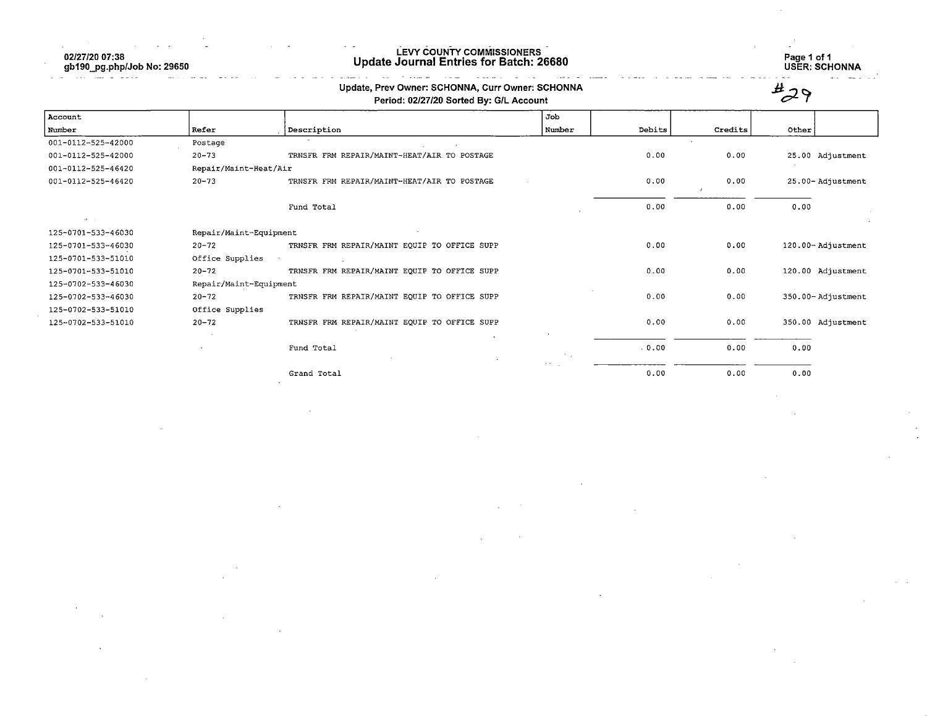$\mathcal{O}(\mathcal{O}(\log n))$  . The same  $\mathcal{O}(\log n)$ 

 $\sim$ 

02/27/20 07:38 gb190\_pg.php/Job No: 29650

## LEVY COUNTY COMMISSIONERS Update Journal Entries for Batch: 26680

 $\sim$  22  $\mu$  .

i<br>Santa A

**Contractor** 

.<br>Salah salah sahiji désa di kacamatan Salah Salah Salah Salah Salah Salah Salah Salah Salah Salah Salah Salah S

Page 1 of 1 USER: SCHONNA

 $\sim$ 

|                                                                       |                        | Update, Prev Owner: SCHONNA, Curr Owner: SCHONNA<br>Period: 02/27/20 Sorted By: G/L Account |        |        |         | $H \cap$          |
|-----------------------------------------------------------------------|------------------------|---------------------------------------------------------------------------------------------|--------|--------|---------|-------------------|
| Account                                                               |                        |                                                                                             | Job    |        |         |                   |
| Number                                                                | Refer                  | Description                                                                                 | Number | Debits | Credits | Other             |
| 001-0112-525-42000                                                    | Postage                |                                                                                             |        |        |         |                   |
| 001-0112-525-42000                                                    | $20 - 73$              | TRNSFR FRM REPAIR/MAINT-HEAT/AIR TO POSTAGE                                                 |        | 0.00   | 0.00    | 25.00 Adjustment  |
| 001-0112-525-46420                                                    | Repair/Maint-Heat/Air  |                                                                                             |        |        |         |                   |
| 001-0112-525-46420                                                    | $20 - 73$              | TRNSFR FRM REPAIR/MAINT-HEAT/AIR TO POSTAGE                                                 |        | 0.00   | 0.00    | 25.00-Adjustment  |
|                                                                       |                        | Fund Total                                                                                  |        | 0.00   | 0.00    | 0.00              |
| $\mathbf{a} \mathbf{b} = \mathbf{b} \mathbf{c}$<br>125-0701-533-46030 | Repair/Maint-Equipment |                                                                                             |        |        |         |                   |
| 125-0701-533-46030                                                    | $20 - 72$              | TRNSFR FRM REPAIR/MAINT EQUIP TO OFFICE SUPP                                                |        | 0.00   | 0.00    | 120.00-Adjustment |
| 125-0701-533-51010                                                    | Office Supplies        |                                                                                             |        |        |         |                   |
| 125-0701-533-51010                                                    | $20 - 72$              | TRNSFR FRM REPAIR/MAINT EQUIP TO OFFICE SUPP                                                |        | 0.00   | 0.00    | 120.00 Adjustment |
| 125-0702-533-46030                                                    | Repair/Maint-Equipment |                                                                                             |        |        |         |                   |
| 125-0702-533-46030                                                    | $20 - 72$              | TRNSFR FRM REPAIR/MAINT EQUIP TO OFFICE SUPP                                                |        | 0.00   | 0.00    | 350.00-Adjustment |
| 125-0702-533-51010                                                    | Office Supplies        |                                                                                             |        |        |         |                   |
| 125-0702-533-51010                                                    | $20 - 72$              | TRNSFR FRM REPAIR/MAINT EQUIP TO OFFICE SUPP                                                |        | 0.00   | 0.00    | 350.00 Adjustment |
|                                                                       |                        |                                                                                             |        |        |         |                   |
|                                                                       |                        | Fund Total                                                                                  |        | .0.00  | 0.00    | 0.00              |
|                                                                       |                        | Grand Total                                                                                 |        | 0.00   | 0.00    | 0.00              |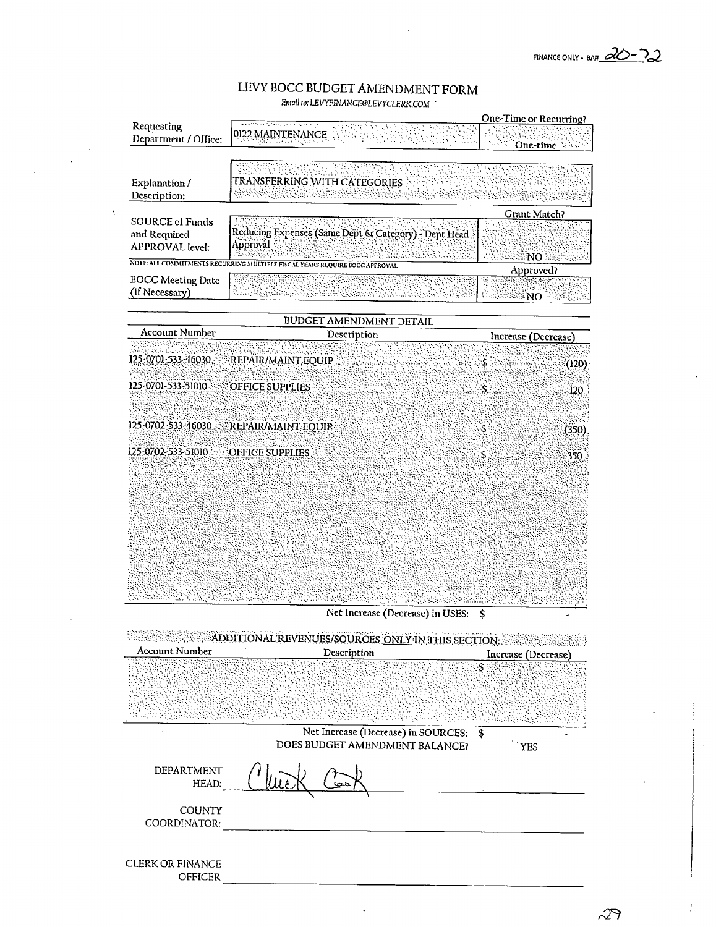## LEVY BOCC BUDGET AMENDMENT FORM Email to: LEVYFINANCE@LEVYCLERK.COM

|                                                                  | every control to the experience of the surge                               | One-Time or Recurring?                    |
|------------------------------------------------------------------|----------------------------------------------------------------------------|-------------------------------------------|
| Requesting<br>Department / Office:                               | 0122 MAINTENANCE<br>MATERIAL ANGGUNIST                                     | <b>Cone-time</b>                          |
|                                                                  |                                                                            |                                           |
| Explanation /<br>Description:                                    | TRANSFERRING WITH CATEGORIES<br>- 2012년 2012년 2012년 10월 1일 (1월 1일)         | <u> PARTI PARTI PARTI PARTI PARTI PRO</u> |
|                                                                  |                                                                            | Grant Match?                              |
| <b>SOURCE of Funds</b><br>and Required<br><b>APPROVAL</b> level: | Reducing Expenses (Same Dept & Category) - Dept Head<br>Approval           |                                           |
|                                                                  | NOTE ALL COMMITMENTS RECURRING MULTIPLE FISCAL YEARS REQUIRE BOCC APPROVAL | NO                                        |
| <b>BOCC Meeting Date</b><br>(if Necessary)                       | ana ya Mashi ya Mashi ya Mashi ya Mashi                                    | Approved?<br>NO.                          |
|                                                                  | BUDGET AMENDMENT DETAIL                                                    |                                           |
| Account Number                                                   | Description                                                                | Increase (Decrease)                       |
| 125-0701-533-46030.                                              | REPAIR/MAINT EQUIP                                                         | S.<br>(120)                               |
| 125-0701-533-51010                                               | <b>OFFICE SUPPLIES</b>                                                     | S.<br>120                                 |
| 125-0702-533-46030                                               | REPAIR/MAINT EOUIP                                                         | Ś<br>(350)                                |

125-0702-533-51010

**OFFICE SUPPLIES** 

Net Increase (Decrease) in USES: \$

 $\tilde{\mathcal{S}}$ 

350.

|                                           | ADDITIONAL REVENUES/SOURCES ONLY IN THIS SECTION: |                               |
|-------------------------------------------|---------------------------------------------------|-------------------------------|
| Account Number                            | Description                                       | Increase (Decrease)           |
|                                           |                                                   | ۰Ŝ                            |
|                                           |                                                   | a Pinano ay diadaman'ilay ara |
|                                           | Net Increase (Decrease) in SOURCES: \$            |                               |
|                                           | DOES BUDGET AMENDMENT BALANCE?                    | <b>YES</b>                    |
| DEPARTMENT<br>HEAD:                       |                                                   |                               |
| <b>COUNTY</b><br>COORDINATOR:             |                                                   |                               |
| <b>CLERK OR FINANCE</b><br><b>OFFICER</b> |                                                   |                               |

27